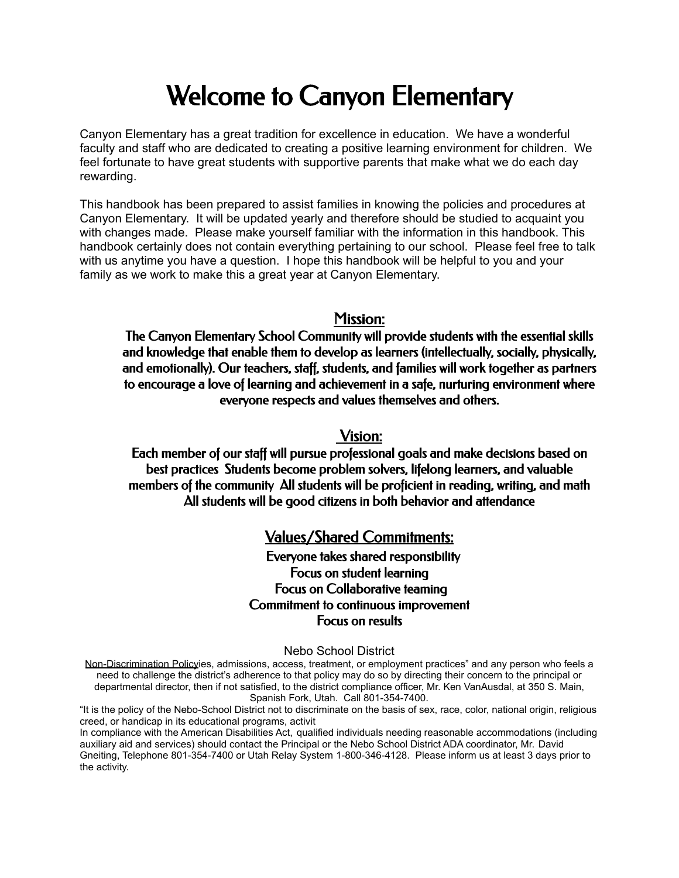# Welcome to Canyon Elementary

Canyon Elementary has a great tradition for excellence in education. We have a wonderful faculty and staff who are dedicated to creating a positive learning environment for children. We feel fortunate to have great students with supportive parents that make what we do each day rewarding.

This handbook has been prepared to assist families in knowing the policies and procedures at Canyon Elementary. It will be updated yearly and therefore should be studied to acquaint you with changes made. Please make yourself familiar with the information in this handbook. This handbook certainly does not contain everything pertaining to our school. Please feel free to talk with us anytime you have a question. I hope this handbook will be helpful to you and your family as we work to make this a great year at Canyon Elementary.

## Mission:

The Canyon Elementary School Community will provide students with the essential skills and knowledge that enable them to develop as learners (intellectually, socially, physically, and emotionally). Our teachers, staff, students, and families will work together as partners to encourage a love of learning and achievement in a safe, nurturing environment where everyone respects and values themselves and others.

## Vision:

Each member of our staff will pursue professional goals and make decisions based on best practices Students become problem solvers, lifelong learners, and valuable members of the community All students will be proficient in reading, writing, and math All students will be good citizens in both behavior and attendance

## Values/Shared Commitments:

Everyone takes shared responsibility Focus on student learning Focus on Collaborative teaming Commitment to continuous improvement Focus on results

#### Nebo School District

Non-Discrimination Policyies, admissions, access, treatment, or employment practices" and any person who feels a need to challenge the district's adherence to that policy may do so by directing their concern to the principal or departmental director, then if not satisfied, to the district compliance officer, Mr. Ken VanAusdal, at 350 S. Main, Spanish Fork, Utah. Call 801-354-7400.

In compliance with the American Disabilities Act, qualified individuals needing reasonable accommodations (including auxiliary aid and services) should contact the Principal or the Nebo School District ADA coordinator, Mr. David Gneiting, Telephone 801-354-7400 or Utah Relay System 1-800-346-4128. Please inform us at least 3 days prior to the activity.

<sup>&</sup>quot;It is the policy of the Nebo-School District not to discriminate on the basis of sex, race, color, national origin, religious creed, or handicap in its educational programs, activit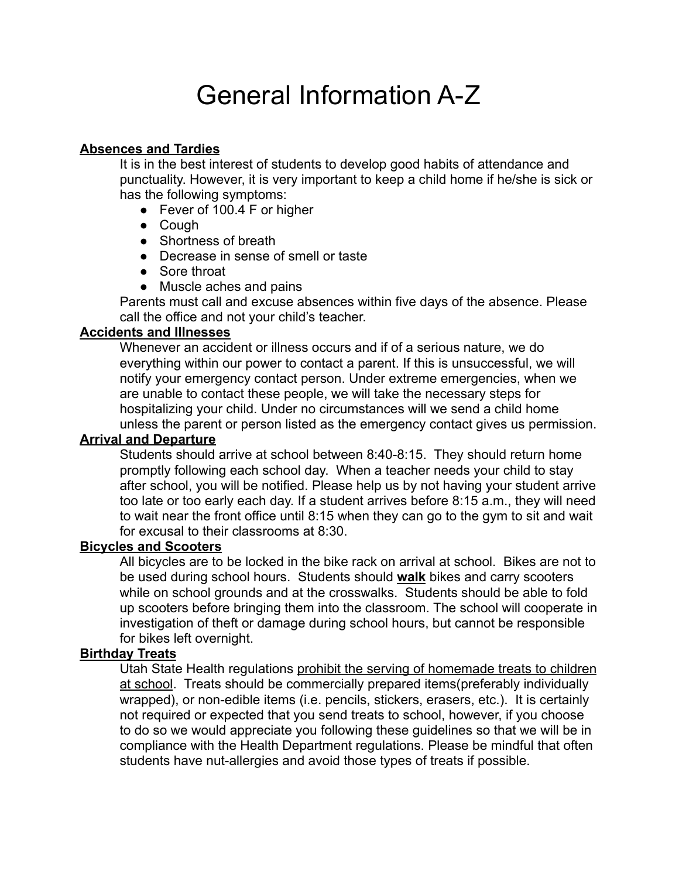# General Information A-Z

## **Absences and Tardies**

It is in the best interest of students to develop good habits of attendance and punctuality. However, it is very important to keep a child home if he/she is sick or has the following symptoms:

- Fever of 100.4 F or higher
- Cough
- Shortness of breath
- Decrease in sense of smell or taste
- Sore throat
- Muscle aches and pains

Parents must call and excuse absences within five days of the absence. Please call the office and not your child's teacher.

#### **Accidents and Illnesses**

Whenever an accident or illness occurs and if of a serious nature, we do everything within our power to contact a parent. If this is unsuccessful, we will notify your emergency contact person. Under extreme emergencies, when we are unable to contact these people, we will take the necessary steps for hospitalizing your child. Under no circumstances will we send a child home unless the parent or person listed as the emergency contact gives us permission.

#### **Arrival and Departure**

Students should arrive at school between 8:40-8:15. They should return home promptly following each school day. When a teacher needs your child to stay after school, you will be notified. Please help us by not having your student arrive too late or too early each day. If a student arrives before 8:15 a.m., they will need to wait near the front office until 8:15 when they can go to the gym to sit and wait for excusal to their classrooms at 8:30.

#### **Bicycles and Scooters**

All bicycles are to be locked in the bike rack on arrival at school. Bikes are not to be used during school hours. Students should **walk** bikes and carry scooters while on school grounds and at the crosswalks. Students should be able to fold up scooters before bringing them into the classroom. The school will cooperate in investigation of theft or damage during school hours, but cannot be responsible for bikes left overnight.

## **Birthday Treats**

Utah State Health regulations prohibit the serving of homemade treats to children at school. Treats should be commercially prepared items(preferably individually wrapped), or non-edible items (i.e. pencils, stickers, erasers, etc.). It is certainly not required or expected that you send treats to school, however, if you choose to do so we would appreciate you following these guidelines so that we will be in compliance with the Health Department regulations. Please be mindful that often students have nut-allergies and avoid those types of treats if possible.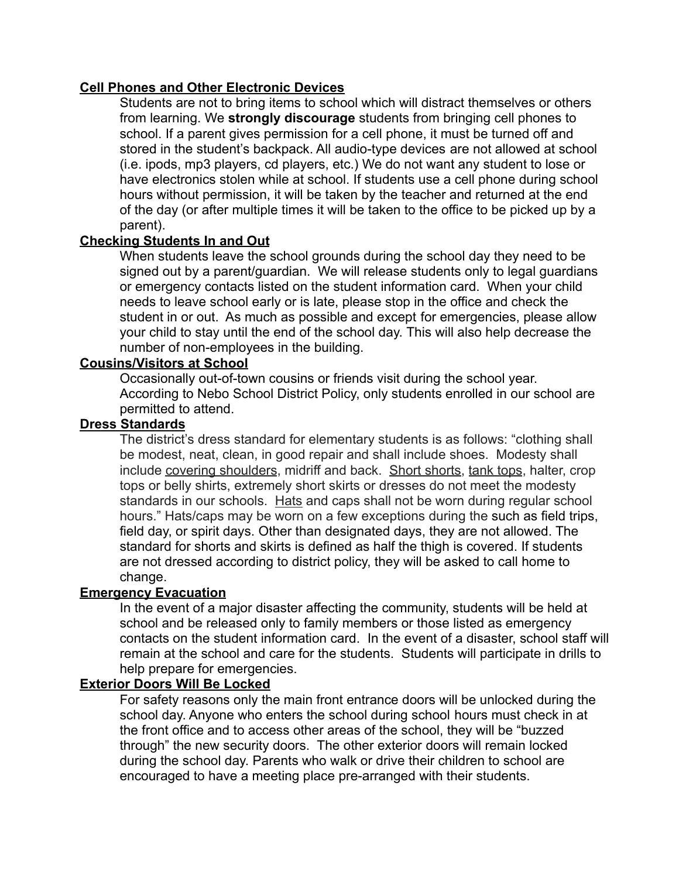## **Cell Phones and Other Electronic Devices**

Students are not to bring items to school which will distract themselves or others from learning. We **strongly discourage** students from bringing cell phones to school. If a parent gives permission for a cell phone, it must be turned off and stored in the student's backpack. All audio-type devices are not allowed at school (i.e. ipods, mp3 players, cd players, etc.) We do not want any student to lose or have electronics stolen while at school. If students use a cell phone during school hours without permission, it will be taken by the teacher and returned at the end of the day (or after multiple times it will be taken to the office to be picked up by a parent).

## **Checking Students In and Out**

When students leave the school grounds during the school day they need to be signed out by a parent/guardian. We will release students only to legal guardians or emergency contacts listed on the student information card. When your child needs to leave school early or is late, please stop in the office and check the student in or out. As much as possible and except for emergencies, please allow your child to stay until the end of the school day. This will also help decrease the number of non-employees in the building.

## **Cousins/Visitors at School**

Occasionally out-of-town cousins or friends visit during the school year. According to Nebo School District Policy, only students enrolled in our school are permitted to attend.

#### **Dress Standards**

The district's dress standard for elementary students is as follows: "clothing shall be modest, neat, clean, in good repair and shall include shoes. Modesty shall include covering shoulders, midriff and back. Short shorts, tank tops, halter, crop tops or belly shirts, extremely short skirts or dresses do not meet the modesty standards in our schools. Hats and caps shall not be worn during regular school hours." Hats/caps may be worn on a few exceptions during the such as field trips, field day, or spirit days. Other than designated days, they are not allowed. The standard for shorts and skirts is defined as half the thigh is covered. If students are not dressed according to district policy, they will be asked to call home to change.

## **Emergency Evacuation**

In the event of a major disaster affecting the community, students will be held at school and be released only to family members or those listed as emergency contacts on the student information card. In the event of a disaster, school staff will remain at the school and care for the students. Students will participate in drills to help prepare for emergencies.

#### **Exterior Doors Will Be Locked**

For safety reasons only the main front entrance doors will be unlocked during the school day. Anyone who enters the school during school hours must check in at the front office and to access other areas of the school, they will be "buzzed through" the new security doors. The other exterior doors will remain locked during the school day. Parents who walk or drive their children to school are encouraged to have a meeting place pre-arranged with their students.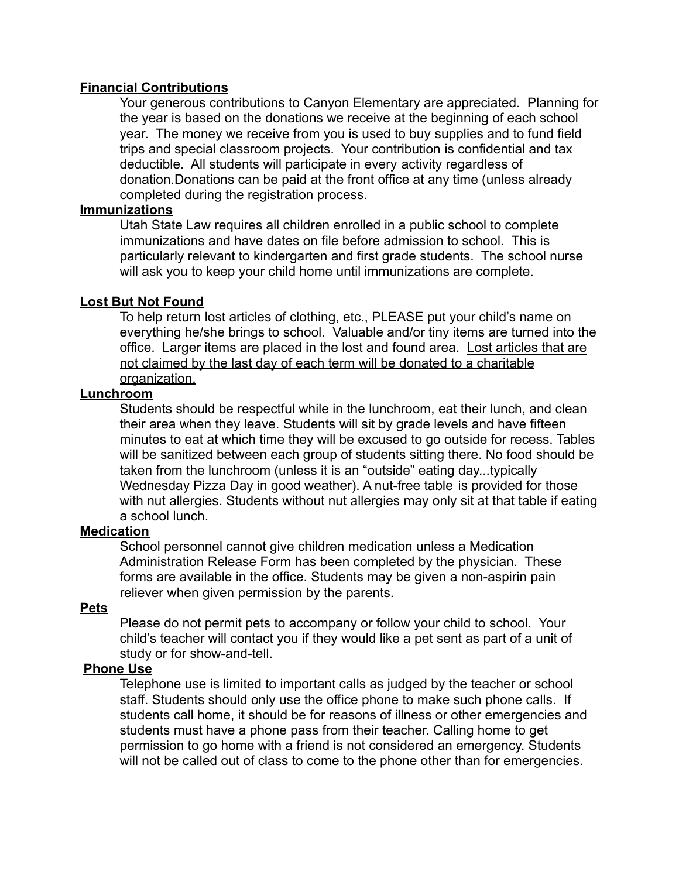## **Financial Contributions**

Your generous contributions to Canyon Elementary are appreciated. Planning for the year is based on the donations we receive at the beginning of each school year. The money we receive from you is used to buy supplies and to fund field trips and special classroom projects. Your contribution is confidential and tax deductible. All students will participate in every activity regardless of donation.Donations can be paid at the front office at any time (unless already completed during the registration process.

### **Immunizations**

Utah State Law requires all children enrolled in a public school to complete immunizations and have dates on file before admission to school. This is particularly relevant to kindergarten and first grade students. The school nurse will ask you to keep your child home until immunizations are complete.

## **Lost But Not Found**

To help return lost articles of clothing, etc., PLEASE put your child's name on everything he/she brings to school. Valuable and/or tiny items are turned into the office. Larger items are placed in the lost and found area. Lost articles that are not claimed by the last day of each term will be donated to a charitable organization.

#### **Lunchroom**

Students should be respectful while in the lunchroom, eat their lunch, and clean their area when they leave. Students will sit by grade levels and have fifteen minutes to eat at which time they will be excused to go outside for recess. Tables will be sanitized between each group of students sitting there. No food should be taken from the lunchroom (unless it is an "outside" eating day...typically Wednesday Pizza Day in good weather). A nut-free table is provided for those with nut allergies. Students without nut allergies may only sit at that table if eating a school lunch.

#### **Medication**

School personnel cannot give children medication unless a Medication Administration Release Form has been completed by the physician. These forms are available in the office. Students may be given a non-aspirin pain reliever when given permission by the parents.

#### **Pets**

Please do not permit pets to accompany or follow your child to school. Your child's teacher will contact you if they would like a pet sent as part of a unit of study or for show-and-tell.

## **Phone Use**

Telephone use is limited to important calls as judged by the teacher or school staff. Students should only use the office phone to make such phone calls. If students call home, it should be for reasons of illness or other emergencies and students must have a phone pass from their teacher. Calling home to get permission to go home with a friend is not considered an emergency. Students will not be called out of class to come to the phone other than for emergencies.